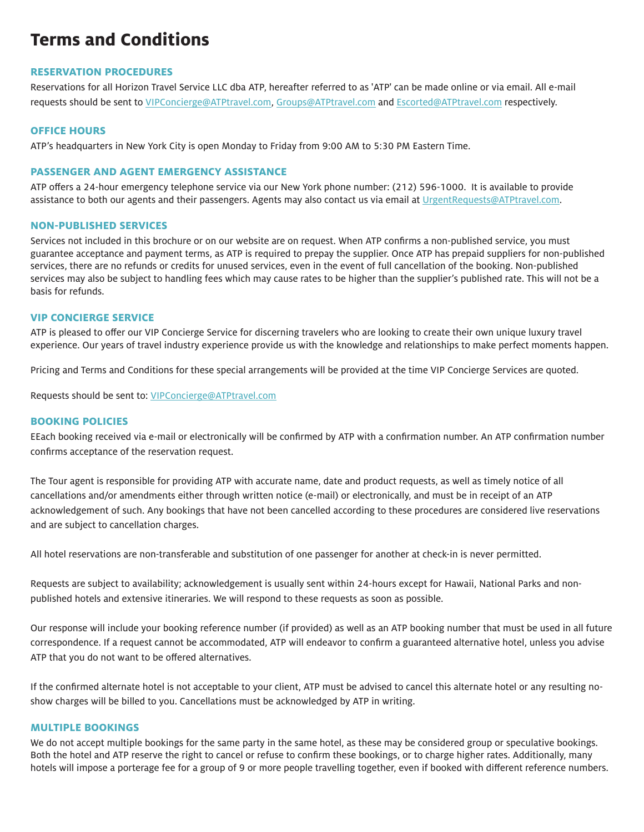# **Terms and Conditions**

# **RESERVATION PROCEDURES**

Reservations for all Horizon Travel Service LLC dba ATP, hereafter referred to as 'ATP' can be made online or via email. All e-mail requests should be sent to VIPConcierge@ATPtravel.com, Groups@ATPtravel.com and Escorted@ATPtravel.com respectively.

#### **OFFICE HOURS**

ATP's headquarters in New York City is open Monday to Friday from 9:00 AM to 5:30 PM Eastern Time.

#### **PASSENGER AND AGENT EMERGENCY ASSISTANCE**

ATP offers a 24-hour emergency telephone service via our New York phone number: (212) 596-1000. It is available to provide assistance to both our agents and their passengers. Agents may also contact us via email at UrgentRequests@ATPtravel.com.

#### **NON-PUBLISHED SERVICES**

Services not included in this brochure or on our website are on request. When ATP confirms a non-published service, you must guarantee acceptance and payment terms, as ATP is required to prepay the supplier. Once ATP has prepaid suppliers for non-published services, there are no refunds or credits for unused services, even in the event of full cancellation of the booking. Non-published services may also be subject to handling fees which may cause rates to be higher than the supplier's published rate. This will not be a basis for refunds.

#### **VIP CONCIERGE SERVICE**

ATP is pleased to offer our VIP Concierge Service for discerning travelers who are looking to create their own unique luxury travel experience. Our years of travel industry experience provide us with the knowledge and relationships to make perfect moments happen.

Pricing and Terms and Conditions for these special arrangements will be provided at the time VIP Concierge Services are quoted.

Requests should be sent to: VIPConcierge@ATPtravel.com

# **BOOKING POLICIES**

EEach booking received via e-mail or electronically will be confirmed by ATP with a confirmation number. An ATP confirmation number confirms acceptance of the reservation request.

The Tour agent is responsible for providing ATP with accurate name, date and product requests, as well as timely notice of all cancellations and/or amendments either through written notice (e-mail) or electronically, and must be in receipt of an ATP acknowledgement of such. Any bookings that have not been cancelled according to these procedures are considered live reservations and are subject to cancellation charges.

All hotel reservations are non-transferable and substitution of one passenger for another at check-in is never permitted.

Requests are subject to availability; acknowledgement is usually sent within 24-hours except for Hawaii, National Parks and nonpublished hotels and extensive itineraries. We will respond to these requests as soon as possible.

Our response will include your booking reference number (if provided) as well as an ATP booking number that must be used in all future correspondence. If a request cannot be accommodated, ATP will endeavor to confirm a guaranteed alternative hotel, unless you advise ATP that you do not want to be offered alternatives.

If the confirmed alternate hotel is not acceptable to your client, ATP must be advised to cancel this alternate hotel or any resulting noshow charges will be billed to you. Cancellations must be acknowledged by ATP in writing.

#### **MULTIPLE BOOKINGS**

We do not accept multiple bookings for the same party in the same hotel, as these may be considered group or speculative bookings. Both the hotel and ATP reserve the right to cancel or refuse to confirm these bookings, or to charge higher rates. Additionally, many hotels will impose a porterage fee for a group of 9 or more people travelling together, even if booked with different reference numbers.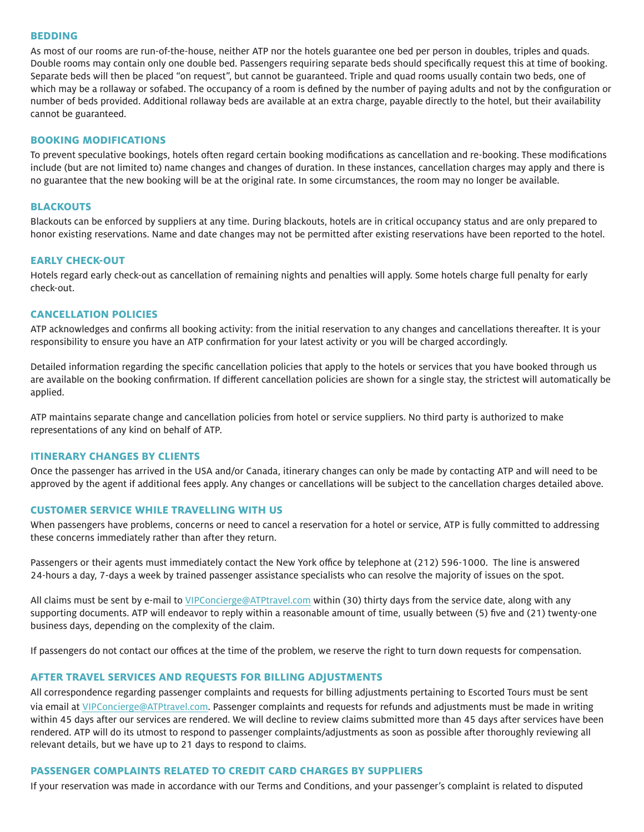## **BEDDING**

As most of our rooms are run-of-the-house, neither ATP nor the hotels guarantee one bed per person in doubles, triples and quads. Double rooms may contain only one double bed. Passengers requiring separate beds should specifically request this at time of booking. Separate beds will then be placed "on request", but cannot be guaranteed. Triple and quad rooms usually contain two beds, one of which may be a rollaway or sofabed. The occupancy of a room is defined by the number of paying adults and not by the configuration or number of beds provided. Additional rollaway beds are available at an extra charge, payable directly to the hotel, but their availability cannot be guaranteed.

#### **BOOKING MODIFICATIONS**

To prevent speculative bookings, hotels often regard certain booking modifications as cancellation and re-booking. These modifications include (but are not limited to) name changes and changes of duration. In these instances, cancellation charges may apply and there is no guarantee that the new booking will be at the original rate. In some circumstances, the room may no longer be available.

#### **BLACKOUTS**

Blackouts can be enforced by suppliers at any time. During blackouts, hotels are in critical occupancy status and are only prepared to honor existing reservations. Name and date changes may not be permitted after existing reservations have been reported to the hotel.

#### **EARLY CHECK-OUT**

Hotels regard early check-out as cancellation of remaining nights and penalties will apply. Some hotels charge full penalty for early check-out.

#### **CANCELLATION POLICIES**

ATP acknowledges and confirms all booking activity: from the initial reservation to any changes and cancellations thereafter. It is your responsibility to ensure you have an ATP confirmation for your latest activity or you will be charged accordingly.

Detailed information regarding the specific cancellation policies that apply to the hotels or services that you have booked through us are available on the booking confirmation. If different cancellation policies are shown for a single stay, the strictest will automatically be applied.

ATP maintains separate change and cancellation policies from hotel or service suppliers. No third party is authorized to make representations of any kind on behalf of ATP.

#### **ITINERARY CHANGES BY CLIENTS**

Once the passenger has arrived in the USA and/or Canada, itinerary changes can only be made by contacting ATP and will need to be approved by the agent if additional fees apply. Any changes or cancellations will be subject to the cancellation charges detailed above.

#### **CUSTOMER SERVICE WHILE TRAVELLING WITH US**

When passengers have problems, concerns or need to cancel a reservation for a hotel or service, ATP is fully committed to addressing these concerns immediately rather than after they return.

Passengers or their agents must immediately contact the New York office by telephone at (212) 596-1000. The line is answered 24-hours a day, 7-days a week by trained passenger assistance specialists who can resolve the majority of issues on the spot.

All claims must be sent by e-mail to VIPConcierge@ATPtravel.com within (30) thirty days from the service date, along with any supporting documents. ATP will endeavor to reply within a reasonable amount of time, usually between (5) five and (21) twenty-one business days, depending on the complexity of the claim.

If passengers do not contact our offices at the time of the problem, we reserve the right to turn down requests for compensation.

# **AFTER TRAVEL SERVICES AND REQUESTS FOR BILLING ADJUSTMENTS**

All correspondence regarding passenger complaints and requests for billing adjustments pertaining to Escorted Tours must be sent via email at VIPConcierge@ATPtravel.com. Passenger complaints and requests for refunds and adjustments must be made in writing within 45 days after our services are rendered. We will decline to review claims submitted more than 45 days after services have been rendered. ATP will do its utmost to respond to passenger complaints/adjustments as soon as possible after thoroughly reviewing all relevant details, but we have up to 21 days to respond to claims.

#### **PASSENGER COMPLAINTS RELATED TO CREDIT CARD CHARGES BY SUPPLIERS**

If your reservation was made in accordance with our Terms and Conditions, and your passenger's complaint is related to disputed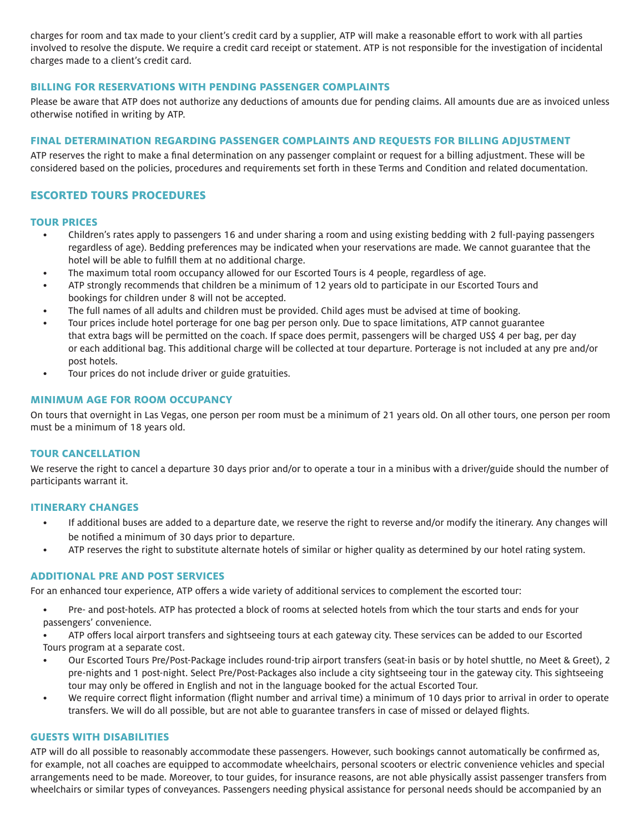charges for room and tax made to your client's credit card by a supplier, ATP will make a reasonable effort to work with all parties involved to resolve the dispute. We require a credit card receipt or statement. ATP is not responsible for the investigation of incidental charges made to a client's credit card.

# **BILLING FOR RESERVATIONS WITH PENDING PASSENGER COMPLAINTS**

Please be aware that ATP does not authorize any deductions of amounts due for pending claims. All amounts due are as invoiced unless otherwise notified in writing by ATP.

# **FINAL DETERMINATION REGARDING PASSENGER COMPLAINTS AND REQUESTS FOR BILLING ADJUSTMENT**

ATP reserves the right to make a final determination on any passenger complaint or request for a billing adjustment. These will be considered based on the policies, procedures and requirements set forth in these Terms and Condition and related documentation.

# **ESCORTED TOURS PROCEDURES**

#### **TOUR PRICES**

- Children's rates apply to passengers 16 and under sharing a room and using existing bedding with 2 full-paying passengers regardless of age). Bedding preferences may be indicated when your reservations are made. We cannot guarantee that the hotel will be able to fulfill them at no additional charge.
- The maximum total room occupancy allowed for our Escorted Tours is 4 people, regardless of age.
- ATP strongly recommends that children be a minimum of 12 years old to participate in our Escorted Tours and bookings for children under 8 will not be accepted.
- The full names of all adults and children must be provided. Child ages must be advised at time of booking.
- Tour prices include hotel porterage for one bag per person only. Due to space limitations, ATP cannot guarantee that extra bags will be permitted on the coach. If space does permit, passengers will be charged US\$ 4 per bag, per day or each additional bag. This additional charge will be collected at tour departure. Porterage is not included at any pre and/or post hotels.
- Tour prices do not include driver or guide gratuities.

#### **MINIMUM AGE FOR ROOM OCCUPANCY**

On tours that overnight in Las Vegas, one person per room must be a minimum of 21 years old. On all other tours, one person per room must be a minimum of 18 years old.

# **TOUR CANCELLATION**

We reserve the right to cancel a departure 30 days prior and/or to operate a tour in a minibus with a driver/guide should the number of participants warrant it.

#### **ITINERARY CHANGES**

- If additional buses are added to a departure date, we reserve the right to reverse and/or modify the itinerary. Any changes will be notified a minimum of 30 days prior to departure.
- ATP reserves the right to substitute alternate hotels of similar or higher quality as determined by our hotel rating system.

#### **ADDITIONAL PRE AND POST SERVICES**

For an enhanced tour experience, ATP offers a wide variety of additional services to complement the escorted tour:

- Pre- and post-hotels. ATP has protected a block of rooms at selected hotels from which the tour starts and ends for your passengers' convenience.
- ATP offers local airport transfers and sightseeing tours at each gateway city. These services can be added to our Escorted Tours program at a separate cost.
- Our Escorted Tours Pre/Post-Package includes round-trip airport transfers (seat-in basis or by hotel shuttle, no Meet & Greet), 2 pre-nights and 1 post-night. Select Pre/Post-Packages also include a city sightseeing tour in the gateway city. This sightseeing tour may only be offered in English and not in the language booked for the actual Escorted Tour.
- We require correct flight information (flight number and arrival time) a minimum of 10 days prior to arrival in order to operate transfers. We will do all possible, but are not able to guarantee transfers in case of missed or delayed flights.

# **GUESTS WITH DISABILITIES**

ATP will do all possible to reasonably accommodate these passengers. However, such bookings cannot automatically be confirmed as, for example, not all coaches are equipped to accommodate wheelchairs, personal scooters or electric convenience vehicles and special arrangements need to be made. Moreover, to tour guides, for insurance reasons, are not able physically assist passenger transfers from wheelchairs or similar types of conveyances. Passengers needing physical assistance for personal needs should be accompanied by an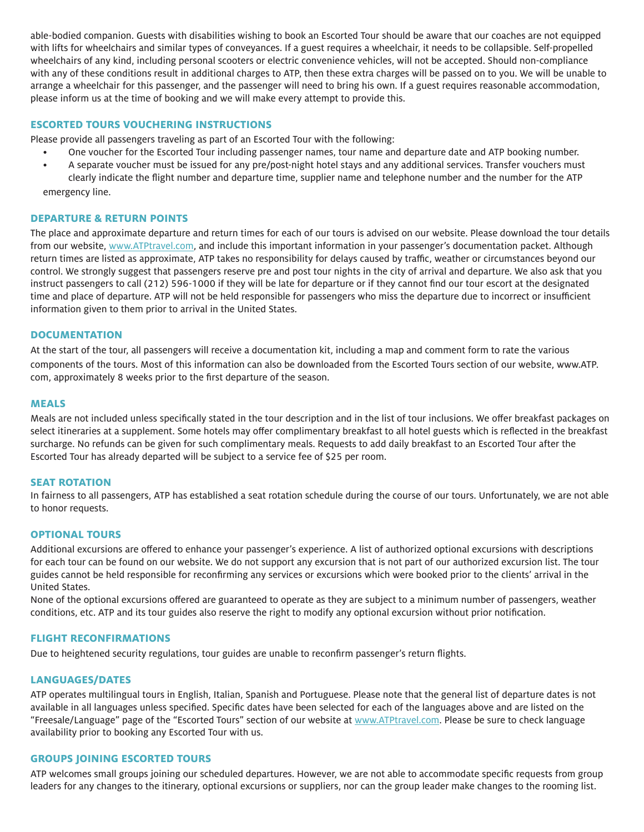able-bodied companion. Guests with disabilities wishing to book an Escorted Tour should be aware that our coaches are not equipped with lifts for wheelchairs and similar types of conveyances. If a guest requires a wheelchair, it needs to be collapsible. Self-propelled wheelchairs of any kind, including personal scooters or electric convenience vehicles, will not be accepted. Should non-compliance with any of these conditions result in additional charges to ATP, then these extra charges will be passed on to you. We will be unable to arrange a wheelchair for this passenger, and the passenger will need to bring his own. If a guest requires reasonable accommodation, please inform us at the time of booking and we will make every attempt to provide this.

# **ESCORTED TOURS VOUCHERING INSTRUCTIONS**

Please provide all passengers traveling as part of an Escorted Tour with the following:

- One voucher for the Escorted Tour including passenger names, tour name and departure date and ATP booking number.
- A separate voucher must be issued for any pre/post-night hotel stays and any additional services. Transfer vouchers must clearly indicate the flight number and departure time, supplier name and telephone number and the number for the ATP emergency line.

# **DEPARTURE & RETURN POINTS**

The place and approximate departure and return times for each of our tours is advised on our website. Please download the tour details from our website, www.ATPtravel.com, and include this important information in your passenger's documentation packet. Although return times are listed as approximate, ATP takes no responsibility for delays caused by traffic, weather or circumstances beyond our control. We strongly suggest that passengers reserve pre and post tour nights in the city of arrival and departure. We also ask that you instruct passengers to call (212) 596-1000 if they will be late for departure or if they cannot find our tour escort at the designated time and place of departure. ATP will not be held responsible for passengers who miss the departure due to incorrect or insufficient information given to them prior to arrival in the United States.

# **DOCUMENTATION**

At the start of the tour, all passengers will receive a documentation kit, including a map and comment form to rate the various components of the tours. Most of this information can also be downloaded from the Escorted Tours section of our website, www.ATP. com, approximately 8 weeks prior to the first departure of the season.

# **MEALS**

Meals are not included unless specifically stated in the tour description and in the list of tour inclusions. We offer breakfast packages on select itineraries at a supplement. Some hotels may offer complimentary breakfast to all hotel guests which is reflected in the breakfast surcharge. No refunds can be given for such complimentary meals. Requests to add daily breakfast to an Escorted Tour after the Escorted Tour has already departed will be subject to a service fee of \$25 per room.

# **SEAT ROTATION**

In fairness to all passengers, ATP has established a seat rotation schedule during the course of our tours. Unfortunately, we are not able to honor requests.

# **OPTIONAL TOURS**

Additional excursions are offered to enhance your passenger's experience. A list of authorized optional excursions with descriptions for each tour can be found on our website. We do not support any excursion that is not part of our authorized excursion list. The tour guides cannot be held responsible for reconfirming any services or excursions which were booked prior to the clients' arrival in the United States.

None of the optional excursions offered are guaranteed to operate as they are subject to a minimum number of passengers, weather conditions, etc. ATP and its tour guides also reserve the right to modify any optional excursion without prior notification.

# **FLIGHT RECONFIRMATIONS**

Due to heightened security regulations, tour guides are unable to reconfirm passenger's return flights.

# **LANGUAGES/DATES**

ATP operates multilingual tours in English, Italian, Spanish and Portuguese. Please note that the general list of departure dates is not available in all languages unless specified. Specific dates have been selected for each of the languages above and are listed on the "Freesale/Language" page of the "Escorted Tours" section of our website at www.ATPtravel.com. Please be sure to check language availability prior to booking any Escorted Tour with us.

# **GROUPS JOINING ESCORTED TOURS**

ATP welcomes small groups joining our scheduled departures. However, we are not able to accommodate specific requests from group leaders for any changes to the itinerary, optional excursions or suppliers, nor can the group leader make changes to the rooming list.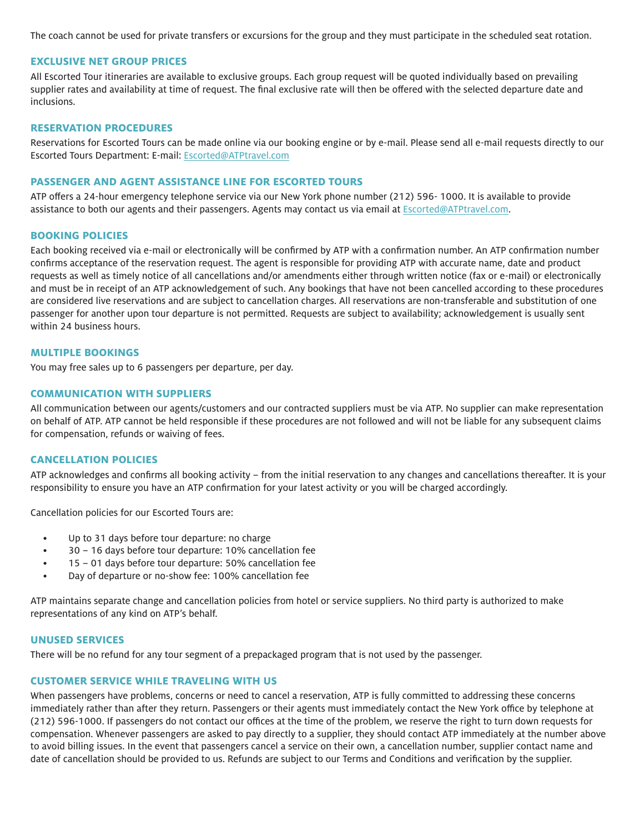The coach cannot be used for private transfers or excursions for the group and they must participate in the scheduled seat rotation.

## **EXCLUSIVE NET GROUP PRICES**

All Escorted Tour itineraries are available to exclusive groups. Each group request will be quoted individually based on prevailing supplier rates and availability at time of request. The final exclusive rate will then be offered with the selected departure date and inclusions.

## **RESERVATION PROCEDURES**

Reservations for Escorted Tours can be made online via our booking engine or by e-mail. Please send all e-mail requests directly to our Escorted Tours Department: E-mail: Escorted@ATPtravel.com

#### **PASSENGER AND AGENT ASSISTANCE LINE FOR ESCORTED TOURS**

ATP offers a 24-hour emergency telephone service via our New York phone number (212) 596- 1000. It is available to provide assistance to both our agents and their passengers. Agents may contact us via email at Escorted@ATPtravel.com.

#### **BOOKING POLICIES**

Each booking received via e-mail or electronically will be confirmed by ATP with a confirmation number. An ATP confirmation number confirms acceptance of the reservation request. The agent is responsible for providing ATP with accurate name, date and product requests as well as timely notice of all cancellations and/or amendments either through written notice (fax or e-mail) or electronically and must be in receipt of an ATP acknowledgement of such. Any bookings that have not been cancelled according to these procedures are considered live reservations and are subject to cancellation charges. All reservations are non-transferable and substitution of one passenger for another upon tour departure is not permitted. Requests are subject to availability; acknowledgement is usually sent within 24 business hours.

## **MULTIPLE BOOKINGS**

You may free sales up to 6 passengers per departure, per day.

## **COMMUNICATION WITH SUPPLIERS**

All communication between our agents/customers and our contracted suppliers must be via ATP. No supplier can make representation on behalf of ATP. ATP cannot be held responsible if these procedures are not followed and will not be liable for any subsequent claims for compensation, refunds or waiving of fees.

#### **CANCELLATION POLICIES**

ATP acknowledges and confirms all booking activity – from the initial reservation to any changes and cancellations thereafter. It is your responsibility to ensure you have an ATP confirmation for your latest activity or you will be charged accordingly.

Cancellation policies for our Escorted Tours are:

- Up to 31 days before tour departure: no charge
- 30 16 days before tour departure: 10% cancellation fee
- 15 01 days before tour departure: 50% cancellation fee
- Day of departure or no-show fee: 100% cancellation fee

ATP maintains separate change and cancellation policies from hotel or service suppliers. No third party is authorized to make representations of any kind on ATP's behalf.

#### **UNUSED SERVICES**

There will be no refund for any tour segment of a prepackaged program that is not used by the passenger.

# **CUSTOMER SERVICE WHILE TRAVELING WITH US**

When passengers have problems, concerns or need to cancel a reservation, ATP is fully committed to addressing these concerns immediately rather than after they return. Passengers or their agents must immediately contact the New York office by telephone at (212) 596-1000. If passengers do not contact our offices at the time of the problem, we reserve the right to turn down requests for compensation. Whenever passengers are asked to pay directly to a supplier, they should contact ATP immediately at the number above to avoid billing issues. In the event that passengers cancel a service on their own, a cancellation number, supplier contact name and date of cancellation should be provided to us. Refunds are subject to our Terms and Conditions and verification by the supplier.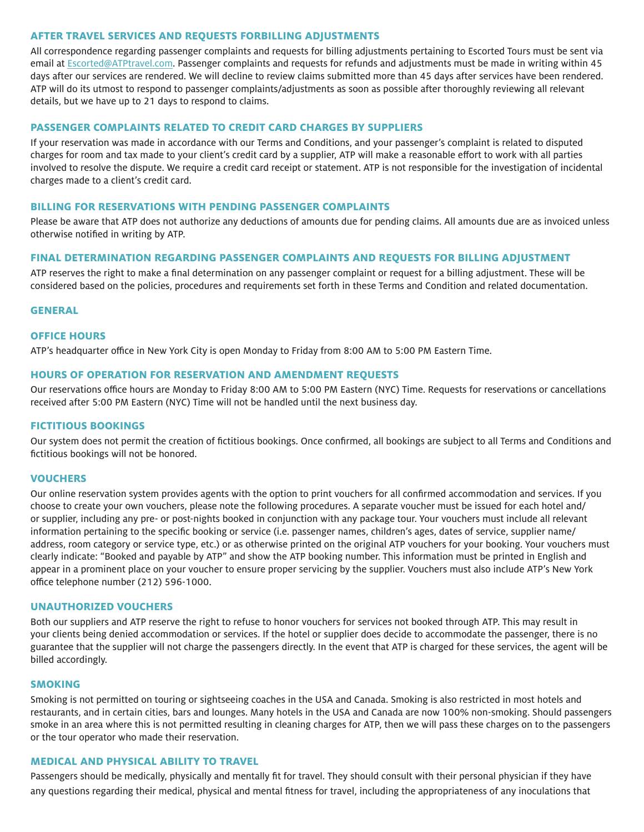## **AFTER TRAVEL SERVICES AND REQUESTS FORBILLING ADJUSTMENTS**

All correspondence regarding passenger complaints and requests for billing adjustments pertaining to Escorted Tours must be sent via email at Escorted@ATPtravel.com. Passenger complaints and requests for refunds and adjustments must be made in writing within 45 days after our services are rendered. We will decline to review claims submitted more than 45 days after services have been rendered. ATP will do its utmost to respond to passenger complaints/adjustments as soon as possible after thoroughly reviewing all relevant details, but we have up to 21 days to respond to claims.

#### **PASSENGER COMPLAINTS RELATED TO CREDIT CARD CHARGES BY SUPPLIERS**

If your reservation was made in accordance with our Terms and Conditions, and your passenger's complaint is related to disputed charges for room and tax made to your client's credit card by a supplier, ATP will make a reasonable effort to work with all parties involved to resolve the dispute. We require a credit card receipt or statement. ATP is not responsible for the investigation of incidental charges made to a client's credit card.

#### **BILLING FOR RESERVATIONS WITH PENDING PASSENGER COMPLAINTS**

Please be aware that ATP does not authorize any deductions of amounts due for pending claims. All amounts due are as invoiced unless otherwise notified in writing by ATP.

#### **FINAL DETERMINATION REGARDING PASSENGER COMPLAINTS AND REQUESTS FOR BILLING ADJUSTMENT**

ATP reserves the right to make a final determination on any passenger complaint or request for a billing adjustment. These will be considered based on the policies, procedures and requirements set forth in these Terms and Condition and related documentation.

#### **GENERAL**

## **OFFICE HOURS**

ATP's headquarter office in New York City is open Monday to Friday from 8:00 AM to 5:00 PM Eastern Time.

#### **HOURS OF OPERATION FOR RESERVATION AND AMENDMENT REQUESTS**

Our reservations office hours are Monday to Friday 8:00 AM to 5:00 PM Eastern (NYC) Time. Requests for reservations or cancellations received after 5:00 PM Eastern (NYC) Time will not be handled until the next business day.

#### **FICTITIOUS BOOKINGS**

Our system does not permit the creation of fictitious bookings. Once confirmed, all bookings are subject to all Terms and Conditions and fictitious bookings will not be honored.

## **VOUCHERS**

Our online reservation system provides agents with the option to print vouchers for all confirmed accommodation and services. If you choose to create your own vouchers, please note the following procedures. A separate voucher must be issued for each hotel and/ or supplier, including any pre- or post-nights booked in conjunction with any package tour. Your vouchers must include all relevant information pertaining to the specific booking or service (i.e. passenger names, children's ages, dates of service, supplier name/ address, room category or service type, etc.) or as otherwise printed on the original ATP vouchers for your booking. Your vouchers must clearly indicate: "Booked and payable by ATP" and show the ATP booking number. This information must be printed in English and appear in a prominent place on your voucher to ensure proper servicing by the supplier. Vouchers must also include ATP's New York office telephone number (212) 596-1000.

#### **UNAUTHORIZED VOUCHERS**

Both our suppliers and ATP reserve the right to refuse to honor vouchers for services not booked through ATP. This may result in your clients being denied accommodation or services. If the hotel or supplier does decide to accommodate the passenger, there is no guarantee that the supplier will not charge the passengers directly. In the event that ATP is charged for these services, the agent will be billed accordingly.

#### **SMOKING**

Smoking is not permitted on touring or sightseeing coaches in the USA and Canada. Smoking is also restricted in most hotels and restaurants, and in certain cities, bars and lounges. Many hotels in the USA and Canada are now 100% non-smoking. Should passengers smoke in an area where this is not permitted resulting in cleaning charges for ATP, then we will pass these charges on to the passengers or the tour operator who made their reservation.

#### **MEDICAL AND PHYSICAL ABILITY TO TRAVEL**

Passengers should be medically, physically and mentally fit for travel. They should consult with their personal physician if they have any questions regarding their medical, physical and mental fitness for travel, including the appropriateness of any inoculations that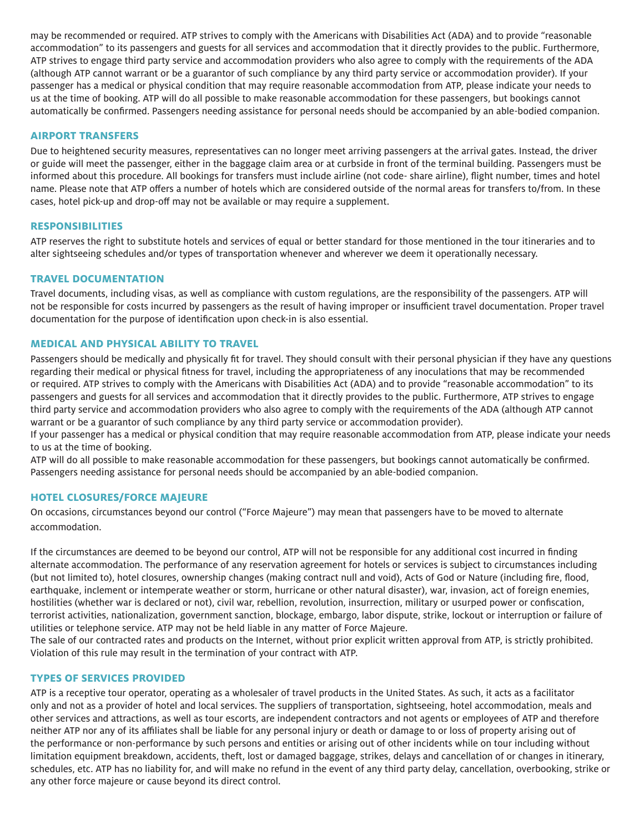may be recommended or required. ATP strives to comply with the Americans with Disabilities Act (ADA) and to provide "reasonable accommodation" to its passengers and guests for all services and accommodation that it directly provides to the public. Furthermore, ATP strives to engage third party service and accommodation providers who also agree to comply with the requirements of the ADA (although ATP cannot warrant or be a guarantor of such compliance by any third party service or accommodation provider). If your passenger has a medical or physical condition that may require reasonable accommodation from ATP, please indicate your needs to us at the time of booking. ATP will do all possible to make reasonable accommodation for these passengers, but bookings cannot automatically be confirmed. Passengers needing assistance for personal needs should be accompanied by an able-bodied companion.

# **AIRPORT TRANSFERS**

Due to heightened security measures, representatives can no longer meet arriving passengers at the arrival gates. Instead, the driver or guide will meet the passenger, either in the baggage claim area or at curbside in front of the terminal building. Passengers must be informed about this procedure. All bookings for transfers must include airline (not code- share airline), flight number, times and hotel name. Please note that ATP offers a number of hotels which are considered outside of the normal areas for transfers to/from. In these cases, hotel pick-up and drop-off may not be available or may require a supplement.

#### **RESPONSIBILITIES**

ATP reserves the right to substitute hotels and services of equal or better standard for those mentioned in the tour itineraries and to alter sightseeing schedules and/or types of transportation whenever and wherever we deem it operationally necessary.

# **TRAVEL DOCUMENTATION**

Travel documents, including visas, as well as compliance with custom regulations, are the responsibility of the passengers. ATP will not be responsible for costs incurred by passengers as the result of having improper or insufficient travel documentation. Proper travel documentation for the purpose of identification upon check-in is also essential.

#### **MEDICAL AND PHYSICAL ABILITY TO TRAVEL**

Passengers should be medically and physically fit for travel. They should consult with their personal physician if they have any questions regarding their medical or physical fitness for travel, including the appropriateness of any inoculations that may be recommended or required. ATP strives to comply with the Americans with Disabilities Act (ADA) and to provide "reasonable accommodation" to its passengers and guests for all services and accommodation that it directly provides to the public. Furthermore, ATP strives to engage third party service and accommodation providers who also agree to comply with the requirements of the ADA (although ATP cannot warrant or be a guarantor of such compliance by any third party service or accommodation provider).

If your passenger has a medical or physical condition that may require reasonable accommodation from ATP, please indicate your needs to us at the time of booking.

ATP will do all possible to make reasonable accommodation for these passengers, but bookings cannot automatically be confirmed. Passengers needing assistance for personal needs should be accompanied by an able-bodied companion.

# **HOTEL CLOSURES/FORCE MAJEURE**

On occasions, circumstances beyond our control ("Force Majeure") may mean that passengers have to be moved to alternate accommodation.

If the circumstances are deemed to be beyond our control, ATP will not be responsible for any additional cost incurred in finding alternate accommodation. The performance of any reservation agreement for hotels or services is subject to circumstances including (but not limited to), hotel closures, ownership changes (making contract null and void), Acts of God or Nature (including fire, flood, earthquake, inclement or intemperate weather or storm, hurricane or other natural disaster), war, invasion, act of foreign enemies, hostilities (whether war is declared or not), civil war, rebellion, revolution, insurrection, military or usurped power or confiscation, terrorist activities, nationalization, government sanction, blockage, embargo, labor dispute, strike, lockout or interruption or failure of utilities or telephone service. ATP may not be held liable in any matter of Force Majeure.

The sale of our contracted rates and products on the Internet, without prior explicit written approval from ATP, is strictly prohibited. Violation of this rule may result in the termination of your contract with ATP.

## **TYPES OF SERVICES PROVIDED**

ATP is a receptive tour operator, operating as a wholesaler of travel products in the United States. As such, it acts as a facilitator only and not as a provider of hotel and local services. The suppliers of transportation, sightseeing, hotel accommodation, meals and other services and attractions, as well as tour escorts, are independent contractors and not agents or employees of ATP and therefore neither ATP nor any of its affiliates shall be liable for any personal injury or death or damage to or loss of property arising out of the performance or non-performance by such persons and entities or arising out of other incidents while on tour including without limitation equipment breakdown, accidents, theft, lost or damaged baggage, strikes, delays and cancellation of or changes in itinerary, schedules, etc. ATP has no liability for, and will make no refund in the event of any third party delay, cancellation, overbooking, strike or any other force majeure or cause beyond its direct control.